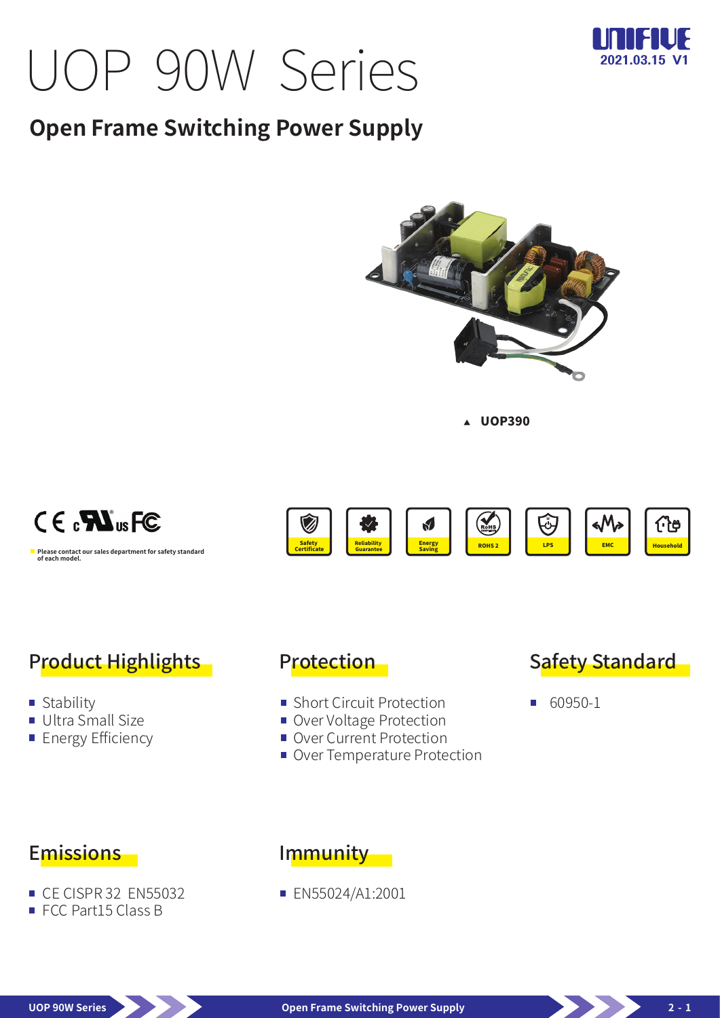# UOP 90W Series



## **Open Frame Switching Power Supply**



**A** UOP390

ROHS 2 COMPLIANT

Saving **ROHS2** ROHS **EMC** 

W



**Please contact our sales department for safety standard of each model.**



**Energy** 

Reliability Guarantee

## Product Highlights

- Stability
- Ultra Small Size
- **Energy Efficiency**

#### Protection

Safety **Certificate** 

- Short Circuit Protection
- Over Voltage Protection
- Over Current Protection
- Over Temperature Protection



Household

化

■ 60950-1

#### Emissions

- CF CISPR 32 FN55032
- FCC Part15 Class B

#### Immunity

**EN55024/A1:2001**